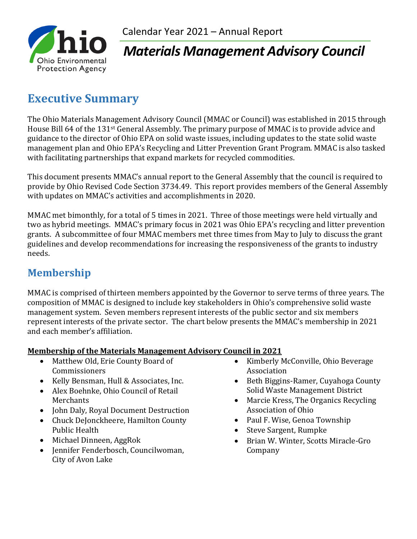

# *Materials Management Advisory Council*

# **Executive Summary**

The Ohio Materials Management Advisory Council (MMAC or Council) was established in 2015 through House Bill 64 of the 131st General Assembly. The primary purpose of MMAC is to provide advice and guidance to the director of Ohio EPA on solid waste issues, including updates to the state solid waste management plan and Ohio EPA's Recycling and Litter Prevention Grant Program. MMAC is also tasked with facilitating partnerships that expand markets for recycled commodities.

This document presents MMAC's annual report to the General Assembly that the council is required to provide by Ohio Revised Code Section 3734.49. This report provides members of the General Assembly with updates on MMAC's activities and accomplishments in 2020.

MMAC met bimonthly, for a total of 5 times in 2021. Three of those meetings were held virtually and two as hybrid meetings. MMAC's primary focus in 2021 was Ohio EPA's recycling and litter prevention grants. A subcommittee of four MMAC members met three times from May to July to discuss the grant guidelines and develop recommendations for increasing the responsiveness of the grants to industry needs.

### **Membership**

MMAC is comprised of thirteen members appointed by the Governor to serve terms of three years. The composition of MMAC is designed to include key stakeholders in Ohio's comprehensive solid waste management system. Seven members represent interests of the public sector and six members represent interests of the private sector. The chart below presents the MMAC's membership in 2021 and each member's affiliation.

#### **Membership of the Materials Management Advisory Council in 2021**

- Matthew Old, Erie County Board of Commissioners
- Kelly Bensman, Hull & Associates, Inc.
- Alex Boehnke, Ohio Council of Retail Merchants
- John Daly, Royal Document Destruction
- Chuck DeJonckheere, Hamilton County Public Health
- Michael Dinneen, AggRok
- Jennifer Fenderbosch, Councilwoman, City of Avon Lake
- Kimberly McConville, Ohio Beverage Association
- Beth Biggins-Ramer, Cuyahoga County Solid Waste Management District
- Marcie Kress, The Organics Recycling Association of Ohio
- Paul F. Wise, Genoa Township
- Steve Sargent, Rumpke
- Brian W. Winter, Scotts Miracle-Gro Company